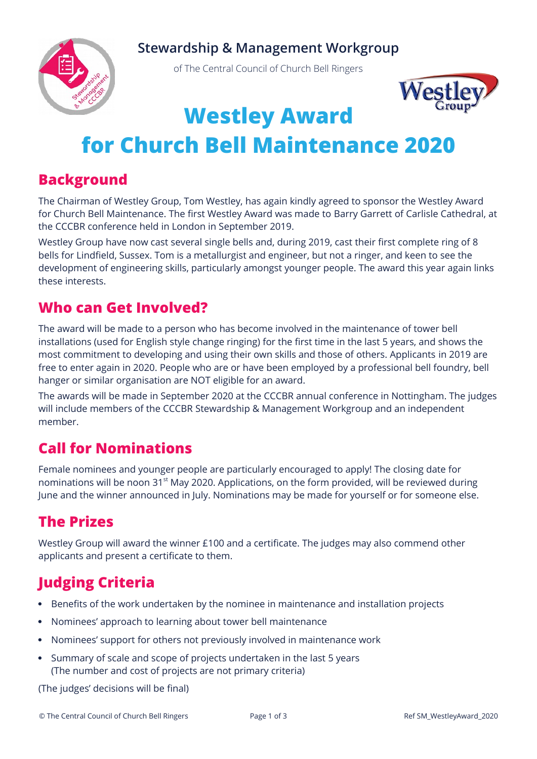#### **Stewardship & Management Workgroup**



of The Central Council of Church Bell Ringers



# **Westley Award**

# **for Church Bell Maintenance 2020**

#### **Background**

The Chairman of Westley Group, Tom Westley, has again kindly agreed to sponsor the Westley Award for Church Bell Maintenance. The first Westley Award was made to Barry Garrett of Carlisle Cathedral, at the CCCBR conference held in London in September 2019.

Westley Group have now cast several single bells and, during 2019, cast their first complete ring of 8 bells for Lindfield, Sussex. Tom is a metallurgist and engineer, but not a ringer, and keen to see the development of engineering skills, particularly amongst younger people. The award this year again links these interests.

#### **Who can Get Involved?**

The award will be made to a person who has become involved in the maintenance of tower bell installations (used for English style change ringing) for the first time in the last 5 years, and shows the most commitment to developing and using their own skills and those of others. Applicants in 2019 are free to enter again in 2020. People who are or have been employed by a professional bell foundry, bell hanger or similar organisation are NOT eligible for an award.

The awards will be made in September 2020 at the CCCBR annual conference in Nottingham. The judges will include members of the CCCBR Stewardship & Management Workgroup and an independent member.

### **Call for Nominations**

Female nominees and younger people are particularly encouraged to apply! The closing date for nominations will be noon  $31<sup>st</sup>$  May 2020. Applications, on the form provided, will be reviewed during June and the winner announced in July. Nominations may be made for yourself or for someone else.

## **The Prizes**

Westley Group will award the winner £100 and a certificate. The judges may also commend other applicants and present a certificate to them.

## **Judging Criteria**

- Benefits of the work undertaken by the nominee in maintenance and installation projects
- Nominees' approach to learning about tower bell maintenance
- Nominees' support for others not previously involved in maintenance work
- Summary of scale and scope of projects undertaken in the last 5 years (The number and cost of projects are not primary criteria)

(The judges' decisions will be final)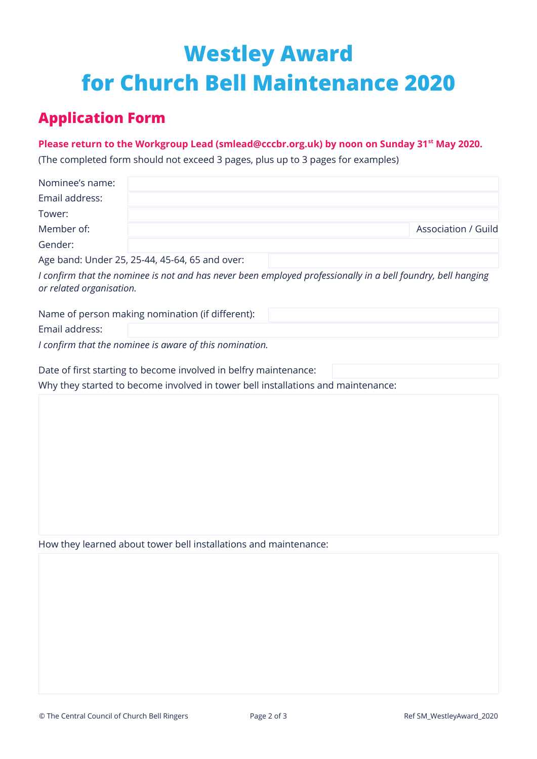# **Westley Award for Church Bell Maintenance 2020**

### **Application Form**

#### **Please return to the Workgroup Lead (smlead@cccbr.org.uk) by noon on Sunday 31st May 2020.**

(The completed form should not exceed 3 pages, plus up to 3 pages for examples)

| Nominee's name:          |                                                                                                              |  |                     |
|--------------------------|--------------------------------------------------------------------------------------------------------------|--|---------------------|
| Email address:           |                                                                                                              |  |                     |
| Tower:                   |                                                                                                              |  |                     |
| Member of:               |                                                                                                              |  | Association / Guild |
| Gender:                  |                                                                                                              |  |                     |
|                          | Age band: Under 25, 25-44, 45-64, 65 and over:                                                               |  |                     |
| or related organisation. | I confirm that the nominee is not and has never been employed professionally in a bell foundry, bell hanging |  |                     |
|                          | Name of person making nomination (if different):                                                             |  |                     |
| Email address:           |                                                                                                              |  |                     |
|                          | I confirm that the nominee is aware of this nomination.                                                      |  |                     |
|                          | Date of first starting to become involved in belfry maintenance:                                             |  |                     |
|                          | Why they started to become involved in tower bell installations and maintenance:                             |  |                     |
|                          |                                                                                                              |  |                     |
|                          |                                                                                                              |  |                     |
|                          |                                                                                                              |  |                     |
|                          |                                                                                                              |  |                     |
|                          |                                                                                                              |  |                     |
|                          |                                                                                                              |  |                     |
|                          |                                                                                                              |  |                     |

How they learned about tower bell installations and maintenance: